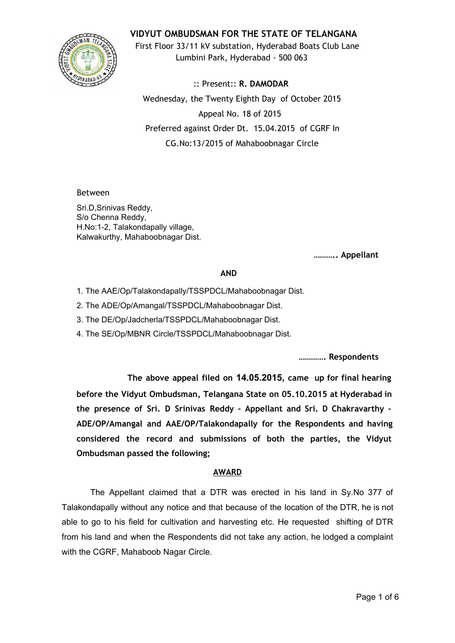

**VIDYUT OMBUDSMAN FOR THE STATE OF TELANGANA**

First Floor 33/11 kV substation, Hyderabad Boats Club Lane Lumbini Park, Hyderabad - 500 063

:: Present:: **R. DAMODAR** Wednesday, the Twenty Eighth Day of October 2015 Appeal No. 18 of 2015 Preferred against Order Dt. 15.04.2015 of CGRF In CG.No:13/2015 of Mahaboobnagar Circle

Between

Sri.D,Srinivas Reddy, S/o Chenna Reddy, H.No:1-2, Talakondapally village, Kalwakurthy, Mahaboobnagar Dist.

**……….. Appellant**

## **AND**

- 1. The AAE/Op/Talakondapally/TSSPDCL/Mahaboobnagar Dist.
- 2. The ADE/Op/Amangal/TSSPDCL/Mahaboobnagar Dist.
- 3. The DE/Op/Jadcherla/TSSPDCL/Mahaboobnagar Dist.
- 4. The SE/Op/MBNR Circle/TSSPDCL/Mahaboobnagar Dist.

**…………. Respondents**

**The above appeal filed on 14.05.2015, came up for final hearing before the Vidyut Ombudsman, Telangana State on 05.10.2015 at Hyderabad in the presence of Sri. D Srinivas Reddy - Appellant and Sri. D Chakravarthy - ADE/OP/Amangal and AAE/OP/Talakondapally for the Respondents and having considered the record and submissions of both the parties, the Vidyut Ombudsman passed the following;**

## **AWARD**

The Appellant claimed that a DTR was erected in his land in Sy.No 377 of Talakondapally without any notice and that because of the location of the DTR, he is not able to go to his field for cultivation and harvesting etc. He requested shifting of DTR from his land and when the Respondents did not take any action, he lodged a complaint with the CGRF, Mahaboob Nagar Circle.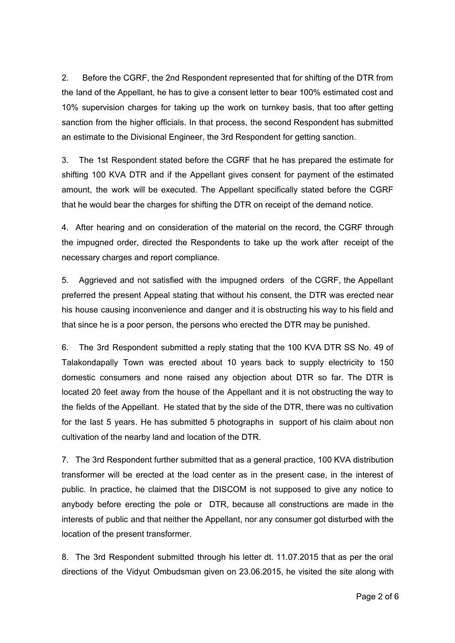2. Before the CGRF, the 2nd Respondent represented that for shifting of the DTR from the land of the Appellant, he has to give a consent letter to bear 100% estimated cost and 10% supervision charges for taking up the work on turnkey basis, that too after getting sanction from the higher officials. In that process, the second Respondent has submitted an estimate to the Divisional Engineer, the 3rd Respondent for getting sanction.

3. The 1st Respondent stated before the CGRF that he has prepared the estimate for shifting 100 KVA DTR and if the Appellant gives consent for payment of the estimated amount, the work will be executed. The Appellant specifically stated before the CGRF that he would bear the charges for shifting the DTR on receipt of the demand notice.

4. After hearing and on consideration of the material on the record, the CGRF through the impugned order, directed the Respondents to take up the work after receipt of the necessary charges and report compliance.

5. Aggrieved and not satisfied with the impugned orders of the CGRF, the Appellant preferred the present Appeal stating that without his consent, the DTR was erected near his house causing inconvenience and danger and it is obstructing his way to his field and that since he is a poor person, the persons who erected the DTR may be punished.

6. The 3rd Respondent submitted a reply stating that the 100 KVA DTR SS No. 49 of Talakondapally Town was erected about 10 years back to supply electricity to 150 domestic consumers and none raised any objection about DTR so far. The DTR is located 20 feet away from the house of the Appellant and it is not obstructing the way to the fields of the Appellant. He stated that by the side of the DTR, there was no cultivation for the last 5 years. He has submitted 5 photographs in support of his claim about non cultivation of the nearby land and location of the DTR.

7. The 3rd Respondent further submitted that as a general practice, 100 KVA distribution transformer will be erected at the load center as in the present case, in the interest of public. In practice, he claimed that the DISCOM is not supposed to give any notice to anybody before erecting the pole or DTR, because all constructions are made in the interests of public and that neither the Appellant, nor any consumer got disturbed with the location of the present transformer.

8. The 3rd Respondent submitted through his letter dt. 11.07.2015 that as per the oral directions of the Vidyut Ombudsman given on 23.06.2015, he visited the site along with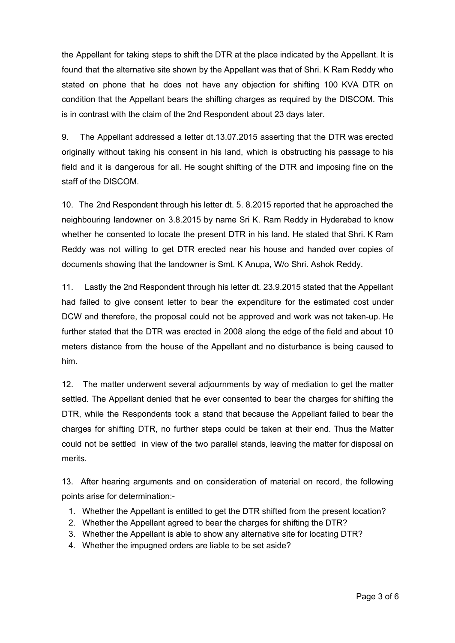the Appellant for taking steps to shift the DTR at the place indicated by the Appellant. It is found that the alternative site shown by the Appellant was that of Shri. K Ram Reddy who stated on phone that he does not have any objection for shifting 100 KVA DTR on condition that the Appellant bears the shifting charges as required by the DISCOM. This is in contrast with the claim of the 2nd Respondent about 23 days later.

9. The Appellant addressed a letter dt.13.07.2015 asserting that the DTR was erected originally without taking his consent in his land, which is obstructing his passage to his field and it is dangerous for all. He sought shifting of the DTR and imposing fine on the staff of the DISCOM.

10. The 2nd Respondent through his letter dt. 5. 8.2015 reported that he approached the neighbouring landowner on 3.8.2015 by name Sri K. Ram Reddy in Hyderabad to know whether he consented to locate the present DTR in his land. He stated that Shri. K Ram Reddy was not willing to get DTR erected near his house and handed over copies of documents showing that the landowner is Smt. K Anupa, W/o Shri. Ashok Reddy.

11. Lastly the 2nd Respondent through his letter dt. 23.9.2015 stated that the Appellant had failed to give consent letter to bear the expenditure for the estimated cost under DCW and therefore, the proposal could not be approved and work was not taken-up. He further stated that the DTR was erected in 2008 along the edge of the field and about 10 meters distance from the house of the Appellant and no disturbance is being caused to him.

12. The matter underwent several adjournments by way of mediation to get the matter settled. The Appellant denied that he ever consented to bear the charges for shifting the DTR, while the Respondents took a stand that because the Appellant failed to bear the charges for shifting DTR, no further steps could be taken at their end. Thus the Matter could not be settled in view of the two parallel stands, leaving the matter for disposal on merits.

13. After hearing arguments and on consideration of material on record, the following points arise for determination:

- 1. Whether the Appellant is entitled to get the DTR shifted from the present location?
- 2. Whether the Appellant agreed to bear the charges for shifting the DTR?
- 3. Whether the Appellant is able to show any alternative site for locating DTR?
- 4. Whether the impugned orders are liable to be set aside?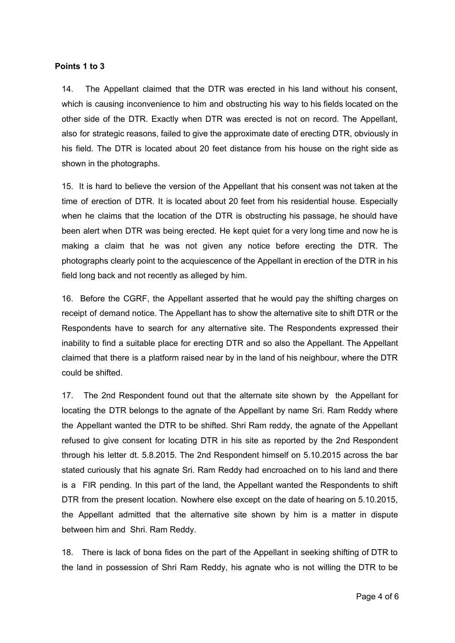## **Points 1 to 3**

14. The Appellant claimed that the DTR was erected in his land without his consent, which is causing inconvenience to him and obstructing his way to his fields located on the other side of the DTR. Exactly when DTR was erected is not on record. The Appellant, also for strategic reasons, failed to give the approximate date of erecting DTR, obviously in his field. The DTR is located about 20 feet distance from his house on the right side as shown in the photographs.

15. It is hard to believe the version of the Appellant that his consent was not taken at the time of erection of DTR. It is located about 20 feet from his residential house. Especially when he claims that the location of the DTR is obstructing his passage, he should have been alert when DTR was being erected. He kept quiet for a very long time and now he is making a claim that he was not given any notice before erecting the DTR. The photographs clearly point to the acquiescence of the Appellant in erection of the DTR in his field long back and not recently as alleged by him.

16. Before the CGRF, the Appellant asserted that he would pay the shifting charges on receipt of demand notice. The Appellant has to show the alternative site to shift DTR or the Respondents have to search for any alternative site. The Respondents expressed their inability to find a suitable place for erecting DTR and so also the Appellant. The Appellant claimed that there is a platform raised near by in the land of his neighbour, where the DTR could be shifted.

17. The 2nd Respondent found out that the alternate site shown by the Appellant for locating the DTR belongs to the agnate of the Appellant by name Sri. Ram Reddy where the Appellant wanted the DTR to be shifted. Shri Ram reddy, the agnate of the Appellant refused to give consent for locating DTR in his site as reported by the 2nd Respondent through his letter dt. 5.8.2015. The 2nd Respondent himself on 5.10.2015 across the bar stated curiously that his agnate Sri. Ram Reddy had encroached on to his land and there is a FIR pending. In this part of the land, the Appellant wanted the Respondents to shift DTR from the present location. Nowhere else except on the date of hearing on 5.10.2015, the Appellant admitted that the alternative site shown by him is a matter in dispute between him and Shri. Ram Reddy.

18. There is lack of bona fides on the part of the Appellant in seeking shifting of DTR to the land in possession of Shri Ram Reddy, his agnate who is not willing the DTR to be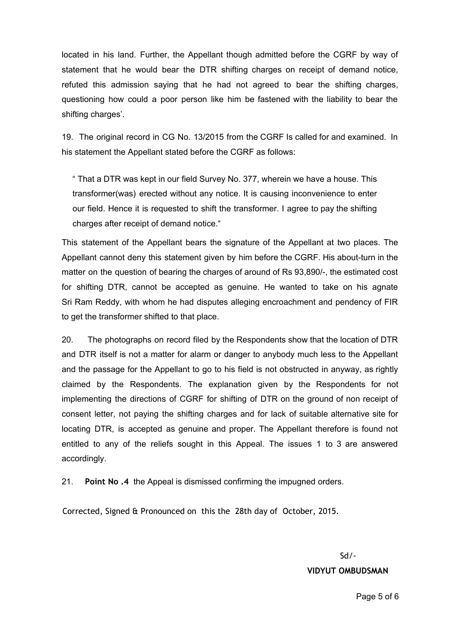located in his land. Further, the Appellant though admitted before the CGRF by way of statement that he would bear the DTR shifting charges on receipt of demand notice, refuted this admission saying that he had not agreed to bear the shifting charges, questioning how could a poor person like him be fastened with the liability to bear the shifting charges'.

19. The original record in CG No. 13/2015 from the CGRF Is called for and examined. In his statement the Appellant stated before the CGRF as follows:

" That a DTR was kept in our field Survey No. 377, wherein we have a house. This transformer(was) erected without any notice. It is causing inconvenience to enter our field. Hence it is requested to shift the transformer. I agree to pay the shifting charges after receipt of demand notice."

This statement of the Appellant bears the signature of the Appellant at two places. The Appellant cannot deny this statement given by him before the CGRF. His about-turn in the matter on the question of bearing the charges of around of Rs 93,890/-, the estimated cost for shifting DTR, cannot be accepted as genuine. He wanted to take on his agnate Sri Ram Reddy, with whom he had disputes alleging encroachment and pendency of FIR to get the transformer shifted to that place.

20. The photographs on record filed by the Respondents show that the location of DTR and DTR itself is not a matter for alarm or danger to anybody much less to the Appellant and the passage for the Appellant to go to his field is not obstructed in anyway, as rightly claimed by the Respondents. The explanation given by the Respondents for not implementing the directions of CGRF for shifting of DTR on the ground of non receipt of consent letter, not paying the shifting charges and for lack of suitable alternative site for locating DTR, is accepted as genuine and proper. The Appellant therefore is found not entitled to any of the reliefs sought in this Appeal. The issues 1 to 3 are answered accordingly.

21. **Point No .4**the Appeal is dismissed confirming the impugned orders.

Corrected, Signed & Pronounced on this the 28th day of October, 2015.

Sd/-

**VIDYUT OMBUDSMAN**